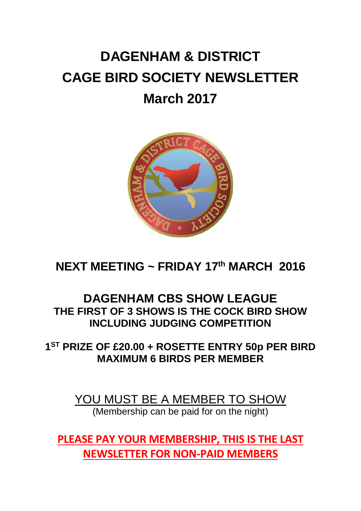# **DAGENHAM & DISTRICT CAGE BIRD SOCIETY NEWSLETTER March 2017**



### **NEXT MEETING ~ FRIDAY 17th MARCH 2016**

### **DAGENHAM CBS SHOW LEAGUE THE FIRST OF 3 SHOWS IS THE COCK BIRD SHOW INCLUDING JUDGING COMPETITION**

**1 ST PRIZE OF £20.00 + ROSETTE ENTRY 50p PER BIRD MAXIMUM 6 BIRDS PER MEMBER**

> YOU MUST BE A MEMBER TO SHOW (Membership can be paid for on the night)

**PLEASE PAY YOUR MEMBERSHIP, THIS IS THE LAST NEWSLETTER FOR NON-PAID MEMBERS**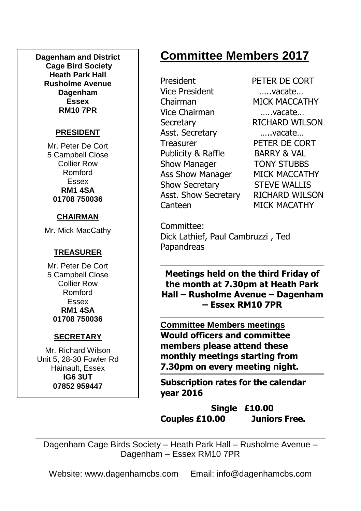**Dagenham and District Cage Bird Society Heath Park Hall Rusholme Avenue Dagenham Essex RM10 7PR**

### **PRESIDENT**

Mr. Peter De Cort 5 Campbell Close Collier Row Romford Essex **RM1 4SA 01708 750036**

### **CHAIRMAN**

Mr. Mick MacCathy

### **TREASURER**

Mr. Peter De Cort 5 Campbell Close Collier Row Romford Essex **RM1 4SA 01708 750036**

### **SECRETARY**

Mr. Richard Wilson Unit 5, 28-30 Fowler Rd Hainault, Essex **IG6 3UT 07852 959447**

# **Committee Members 2017**

President PETER DE CORT Vice President …..vacate… Chairman MICK MACCATHY Vice Chairman …..vacate… Secretary RICHARD WILSON Asst. Secretary …..vacate… Treasurer PETER DE CORT Publicity & Raffle BARRY & VAL Show Manager **TONY STUBBS** Ass Show Manager MICK MACCATHY Show Secretary STEVE WALLIS Asst. Show Secretary RICHARD WILSON Canteen MICK MACATHY

Committee: Dick Lathief, Paul Cambruzzi , Ted Papandreas

**Meetings held on the third Friday of the month at 7.30pm at Heath Park Hall – Rusholme Avenue – Dagenham – Essex RM10 7PR**

**Committee Members meetings Would officers and committee members please attend these monthly meetings starting from 7.30pm on every meeting night.**

**Subscription rates for the calendar year 2016**

**Single £10.00 Couples £10.00 Juniors Free.**

Dagenham Cage Birds Society – Heath Park Hall – Rusholme Avenue – Dagenham – Essex RM10 7PR

Website: www.dagenhamcbs.com Email: info@dagenhamcbs.com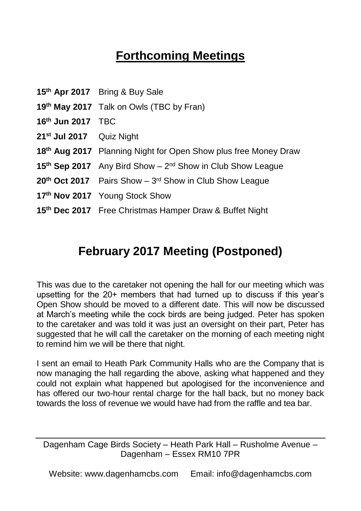# **Forthcoming Meetings**

|                          | 15th Apr 2017 Bring & Buy Sale                                         |  |  |
|--------------------------|------------------------------------------------------------------------|--|--|
|                          | 19th May 2017 Talk on Owls (TBC by Fran)                               |  |  |
| 16th Jun 2017 TBC        |                                                                        |  |  |
| 21st Jul 2017 Quiz Night |                                                                        |  |  |
|                          | 18th Aug 2017 Planning Night for Open Show plus free Money Draw        |  |  |
|                          | 15th Sep 2017 Any Bird Show - 2 <sup>nd</sup> Show in Club Show League |  |  |
|                          | $20th$ Oct 2017 Pairs Show – $3rd$ Show in Club Show League            |  |  |
|                          | 17th Nov 2017 Young Stock Show                                         |  |  |
|                          | 15th Dec 2017 Free Christmas Hamper Draw & Buffet Night                |  |  |
|                          |                                                                        |  |  |

### **February 2017 Meeting (Postponed)**

This was due to the caretaker not opening the hall for our meeting which was upsetting for the 20+ members that had turned up to discuss if this year's Open Show should be moved to a different date. This will now be discussed at March's meeting while the cock birds are being judged. Peter has spoken to the caretaker and was told it was just an oversight on their part, Peter has suggested that he will call the caretaker on the morning of each meeting night to remind him we will be there that night.

I sent an email to Heath Park Community Halls who are the Company that is now managing the hall regarding the above, asking what happened and they could not explain what happened but apologised for the inconvenience and has offered our two-hour rental charge for the hall back, but no money back towards the loss of revenue we would have had from the raffle and tea bar.

Dagenham Cage Birds Society – Heath Park Hall – Rusholme Avenue – Dagenham – Essex RM10 7PR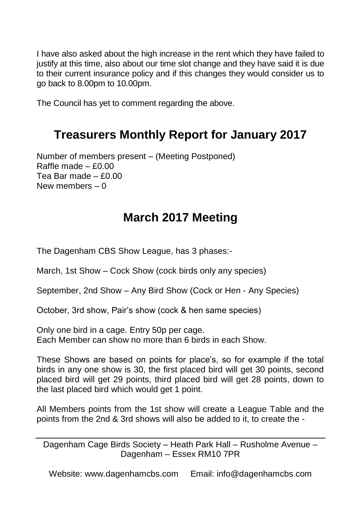I have also asked about the high increase in the rent which they have failed to justify at this time, also about our time slot change and they have said it is due to their current insurance policy and if this changes they would consider us to go back to 8.00pm to 10.00pm.

The Council has yet to comment regarding the above.

# **Treasurers Monthly Report for January 2017**

Number of members present – (Meeting Postponed) Raffle made  $- f$ 0.00 Tea Bar made – £0.00 New members – 0

# **March 2017 Meeting**

The Dagenham CBS Show League, has 3 phases:-

March, 1st Show – Cock Show (cock birds only any species)

September, 2nd Show – Any Bird Show (Cock or Hen - Any Species)

October, 3rd show, Pair's show (cock & hen same species)

Only one bird in a cage. Entry 50p per cage. Each Member can show no more than 6 birds in each Show.

These Shows are based on points for place's, so for example if the total birds in any one show is 30, the first placed bird will get 30 points, second placed bird will get 29 points, third placed bird will get 28 points, down to the last placed bird which would get 1 point.

All Members points from the 1st show will create a League Table and the points from the 2nd & 3rd shows will also be added to it, to create the -

Dagenham Cage Birds Society – Heath Park Hall – Rusholme Avenue – Dagenham – Essex RM10 7PR

Website: www.dagenhamcbs.com Email: info@dagenhamcbs.com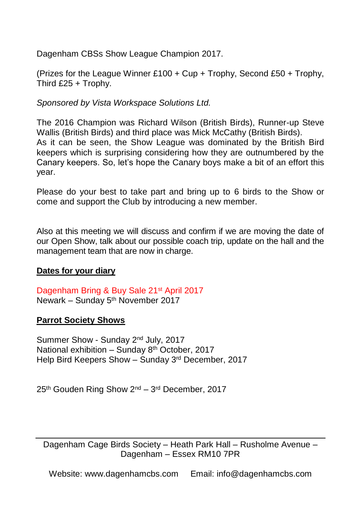Dagenham CBSs Show League Champion 2017.

(Prizes for the League Winner £100 + Cup + Trophy, Second £50 + Trophy, Third £25 + Trophy.

*Sponsored by Vista Workspace Solutions Ltd.*

The 2016 Champion was Richard Wilson (British Birds), Runner-up Steve Wallis (British Birds) and third place was Mick McCathy (British Birds). As it can be seen, the Show League was dominated by the British Bird keepers which is surprising considering how they are outnumbered by the Canary keepers. So, let's hope the Canary boys make a bit of an effort this year.

Please do your best to take part and bring up to 6 birds to the Show or come and support the Club by introducing a new member.

Also at this meeting we will discuss and confirm if we are moving the date of our Open Show, talk about our possible coach trip, update on the hall and the management team that are now in charge.

#### **Dates for your diary**

Dagenham Bring & Buy Sale 21st April 2017 Newark – Sunday 5<sup>th</sup> November 2017

#### **Parrot Society Shows**

Summer Show - Sunday 2nd July, 2017 National exhibition – Sunday 8<sup>th</sup> October, 2017 Help Bird Keepers Show – Sunday 3rd December, 2017

25<sup>th</sup> Gouden Ring Show 2<sup>nd</sup> – 3<sup>rd</sup> December, 2017

Dagenham Cage Birds Society – Heath Park Hall – Rusholme Avenue – Dagenham – Essex RM10 7PR